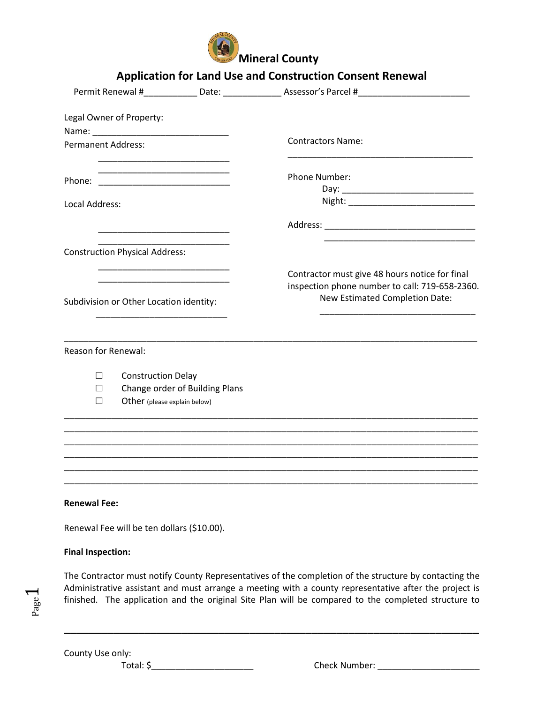

|                                                                                                                      | <b>Application for Land Use and Construction Consent Renewal</b>                 |
|----------------------------------------------------------------------------------------------------------------------|----------------------------------------------------------------------------------|
|                                                                                                                      |                                                                                  |
| Legal Owner of Property:                                                                                             |                                                                                  |
| <b>Permanent Address:</b>                                                                                            | <b>Contractors Name:</b>                                                         |
|                                                                                                                      |                                                                                  |
|                                                                                                                      | Phone Number:                                                                    |
| Local Address:                                                                                                       |                                                                                  |
|                                                                                                                      |                                                                                  |
| <b>Construction Physical Address:</b>                                                                                |                                                                                  |
| <u> 1989 - Johann Stein, mars and de Brandenburg and de Brandenburg and de Brandenburg and de Brandenburg and de</u> | Contractor must give 48 hours notice for final                                   |
| Subdivision or Other Location identity:                                                                              | inspection phone number to call: 719-658-2360.<br>New Estimated Completion Date: |
|                                                                                                                      |                                                                                  |
| <b>Reason for Renewal:</b>                                                                                           |                                                                                  |
| <b>Construction Delay</b><br>$\perp$                                                                                 |                                                                                  |
| Change order of Building Plans<br>$\Box$                                                                             |                                                                                  |
| Other (please explain below)<br>$\Box$                                                                               |                                                                                  |
|                                                                                                                      |                                                                                  |
|                                                                                                                      |                                                                                  |
|                                                                                                                      |                                                                                  |
| <b>Renewal Fee:</b>                                                                                                  |                                                                                  |
| Renewal Fee will be ten dollars (\$10.00).                                                                           |                                                                                  |
| <b>Final Inspection:</b>                                                                                             |                                                                                  |

The Contractor must notify County Representatives of the completion of the structure by contacting the Administrative assistant and must arrange a meeting with a county representative after the project is finished. The application and the original Site Plan will be compared to the completed structure to

**\_\_\_\_\_\_\_\_\_\_\_\_\_\_\_\_\_\_\_\_\_\_\_\_\_\_\_\_\_\_\_\_\_\_\_\_\_\_\_\_\_\_\_\_\_\_\_\_\_\_\_\_\_\_\_\_\_\_\_\_\_\_\_\_\_\_\_**

County Use only:

Total: \$\_\_\_\_\_\_\_\_\_\_\_\_\_\_\_\_\_\_\_\_\_ Check Number: \_\_\_\_\_\_\_\_\_\_\_\_\_\_\_\_\_\_\_\_\_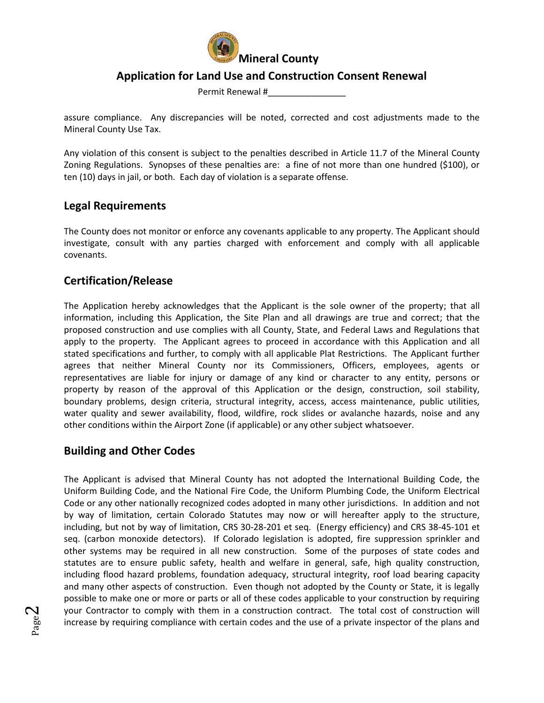

### **Application for Land Use and Construction Consent Renewal**

Permit Renewal #\_\_\_\_\_\_\_\_\_\_\_\_\_\_\_\_

assure compliance. Any discrepancies will be noted, corrected and cost adjustments made to the Mineral County Use Tax.

Any violation of this consent is subject to the penalties described in Article 11.7 of the Mineral County Zoning Regulations. Synopses of these penalties are: a fine of not more than one hundred (\$100), or ten (10) days in jail, or both. Each day of violation is a separate offense.

#### **Legal Requirements**

The County does not monitor or enforce any covenants applicable to any property. The Applicant should investigate, consult with any parties charged with enforcement and comply with all applicable covenants.

### **Certification/Release**

The Application hereby acknowledges that the Applicant is the sole owner of the property; that all information, including this Application, the Site Plan and all drawings are true and correct; that the proposed construction and use complies with all County, State, and Federal Laws and Regulations that apply to the property. The Applicant agrees to proceed in accordance with this Application and all stated specifications and further, to comply with all applicable Plat Restrictions. The Applicant further agrees that neither Mineral County nor its Commissioners, Officers, employees, agents or representatives are liable for injury or damage of any kind or character to any entity, persons or property by reason of the approval of this Application or the design, construction, soil stability, boundary problems, design criteria, structural integrity, access, access maintenance, public utilities, water quality and sewer availability, flood, wildfire, rock slides or avalanche hazards, noise and any other conditions within the Airport Zone (if applicable) or any other subject whatsoever.

## **Building and Other Codes**

The Applicant is advised that Mineral County has not adopted the International Building Code, the Uniform Building Code, and the National Fire Code, the Uniform Plumbing Code, the Uniform Electrical Code or any other nationally recognized codes adopted in many other jurisdictions. In addition and not by way of limitation, certain Colorado Statutes may now or will hereafter apply to the structure, including, but not by way of limitation, CRS 30-28-201 et seq. (Energy efficiency) and CRS 38-45-101 et seq. (carbon monoxide detectors). If Colorado legislation is adopted, fire suppression sprinkler and other systems may be required in all new construction. Some of the purposes of state codes and statutes are to ensure public safety, health and welfare in general, safe, high quality construction, including flood hazard problems, foundation adequacy, structural integrity, roof load bearing capacity and many other aspects of construction. Even though not adopted by the County or State, it is legally possible to make one or more or parts or all of these codes applicable to your construction by requiring your Contractor to comply with them in a construction contract. The total cost of construction will increase by requiring compliance with certain codes and the use of a private inspector of the plans and